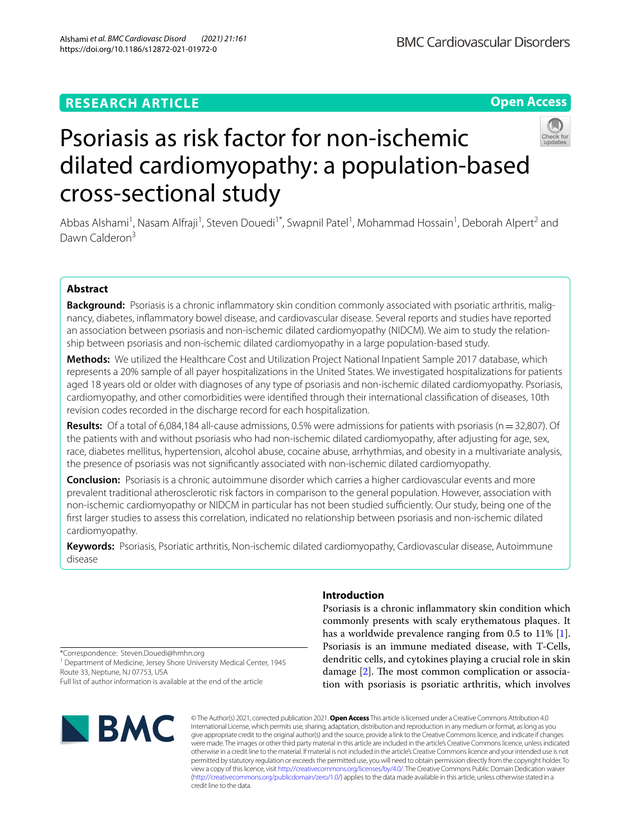### **RESEARCH ARTICLE**

#### **Open Access**



# Psoriasis as risk factor for non-ischemic dilated cardiomyopathy: a population-based cross-sectional study

Abbas Alshami<sup>1</sup>, Nasam Alfraji<sup>1</sup>, Steven Douedi<sup>1\*</sup>, Swapnil Patel<sup>1</sup>, Mohammad Hossain<sup>1</sup>, Deborah Alpert<sup>2</sup> and Dawn Calderon<sup>3</sup>

#### **Abstract**

**Background:** Psoriasis is a chronic infammatory skin condition commonly associated with psoriatic arthritis, malignancy, diabetes, infammatory bowel disease, and cardiovascular disease. Several reports and studies have reported an association between psoriasis and non-ischemic dilated cardiomyopathy (NIDCM). We aim to study the relationship between psoriasis and non-ischemic dilated cardiomyopathy in a large population-based study.

**Methods:** We utilized the Healthcare Cost and Utilization Project National Inpatient Sample 2017 database, which represents a 20% sample of all payer hospitalizations in the United States. We investigated hospitalizations for patients aged 18 years old or older with diagnoses of any type of psoriasis and non-ischemic dilated cardiomyopathy. Psoriasis, cardiomyopathy, and other comorbidities were identifed through their international classifcation of diseases, 10th revision codes recorded in the discharge record for each hospitalization.

**Results:** Of a total of 6,084,184 all-cause admissions, 0.5% were admissions for patients with psoriasis (n=32,807). Of the patients with and without psoriasis who had non-ischemic dilated cardiomyopathy, after adjusting for age, sex, race, diabetes mellitus, hypertension, alcohol abuse, cocaine abuse, arrhythmias, and obesity in a multivariate analysis, the presence of psoriasis was not signifcantly associated with non-ischemic dilated cardiomyopathy.

**Conclusion:** Psoriasis is a chronic autoimmune disorder which carries a higher cardiovascular events and more prevalent traditional atherosclerotic risk factors in comparison to the general population. However, association with non-ischemic cardiomyopathy or NIDCM in particular has not been studied sufficiently. Our study, being one of the frst larger studies to assess this correlation, indicated no relationship between psoriasis and non-ischemic dilated cardiomyopathy.

**Keywords:** Psoriasis, Psoriatic arthritis, Non-ischemic dilated cardiomyopathy, Cardiovascular disease, Autoimmune disease

\*Correspondence: Steven.Douedi@hmhn.org

<sup>1</sup> Department of Medicine, Jersey Shore University Medical Center, 1945 Route 33, Neptune, NJ 07753, USA

Full list of author information is available at the end of the article

# $\blacksquare$  BMC

**Introduction**

Psoriasis is a chronic infammatory skin condition which commonly presents with scaly erythematous plaques. It has a worldwide prevalence ranging from 0.5 to 11% [\[1](#page-5-0)]. Psoriasis is an immune mediated disease, with T-Cells, dendritic cells, and cytokines playing a crucial role in skin damage  $[2]$  $[2]$  $[2]$ . The most common complication or association with psoriasis is psoriatic arthritis, which involves

© The Author(s) 2021, corrected publication 2021. **Open Access** This article is licensed under a Creative Commons Attribution 4.0 International License, which permits use, sharing, adaptation, distribution and reproduction in any medium or format, as long as you give appropriate credit to the original author(s) and the source, provide a link to the Creative Commons licence, and indicate if changes were made. The images or other third party material in this article are included in the article's Creative Commons licence, unless indicated otherwise in a credit line to the material. If material is not included in the article's Creative Commons licence and your intended use is not permitted by statutory regulation or exceeds the permitted use, you will need to obtain permission directly from the copyright holder. To view a copy of this licence, visit [http://creativecommons.org/licenses/by/4.0/.](http://creativecommons.org/licenses/by/4.0/) The Creative Commons Public Domain Dedication waiver [\(http://creativecommons.org/publicdomain/zero/1.0/\)](http://creativecommons.org/publicdomain/zero/1.0/) applies to the data made available in this article, unless otherwise stated in a credit line to the data.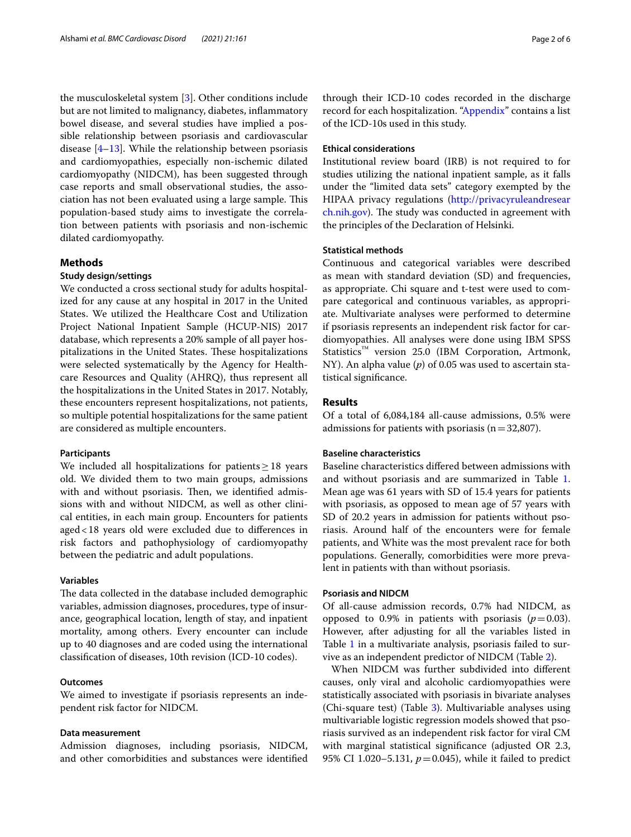the musculoskeletal system [\[3](#page-5-2)]. Other conditions include but are not limited to malignancy, diabetes, infammatory bowel disease, and several studies have implied a possible relationship between psoriasis and cardiovascular disease [\[4](#page-5-3)[–13\]](#page-5-4). While the relationship between psoriasis and cardiomyopathies, especially non-ischemic dilated cardiomyopathy (NIDCM), has been suggested through case reports and small observational studies, the association has not been evaluated using a large sample. This population-based study aims to investigate the correlation between patients with psoriasis and non-ischemic dilated cardiomyopathy.

#### **Methods**

#### **Study design/settings**

We conducted a cross sectional study for adults hospitalized for any cause at any hospital in 2017 in the United States. We utilized the Healthcare Cost and Utilization Project National Inpatient Sample (HCUP-NIS) 2017 database, which represents a 20% sample of all payer hospitalizations in the United States. These hospitalizations were selected systematically by the Agency for Healthcare Resources and Quality (AHRQ), thus represent all the hospitalizations in the United States in 2017. Notably, these encounters represent hospitalizations, not patients, so multiple potential hospitalizations for the same patient are considered as multiple encounters.

#### **Participants**

We included all hospitalizations for patients  $\geq$  18 years old. We divided them to two main groups, admissions with and without psoriasis. Then, we identified admissions with and without NIDCM, as well as other clinical entities, in each main group. Encounters for patients aged<18 years old were excluded due to diferences in risk factors and pathophysiology of cardiomyopathy between the pediatric and adult populations.

#### **Variables**

The data collected in the database included demographic variables, admission diagnoses, procedures, type of insurance, geographical location, length of stay, and inpatient mortality, among others. Every encounter can include up to 40 diagnoses and are coded using the international classifcation of diseases, 10th revision (ICD-10 codes).

#### **Outcomes**

We aimed to investigate if psoriasis represents an independent risk factor for NIDCM.

#### **Data measurement**

Admission diagnoses, including psoriasis, NIDCM, and other comorbidities and substances were identifed through their ICD-10 codes recorded in the discharge record for each hospitalization. ["Appendix"](#page-4-0) contains a list of the ICD-10s used in this study.

#### **Ethical considerations**

Institutional review board (IRB) is not required to for studies utilizing the national inpatient sample, as it falls under the "limited data sets" category exempted by the HIPAA privacy regulations ([http://privacyruleandresear](http://privacyruleandresearch.nih.gov) [ch.nih.gov\)](http://privacyruleandresearch.nih.gov). The study was conducted in agreement with the principles of the Declaration of Helsinki.

#### **Statistical methods**

Continuous and categorical variables were described as mean with standard deviation (SD) and frequencies, as appropriate. Chi square and t-test were used to compare categorical and continuous variables, as appropriate. Multivariate analyses were performed to determine if psoriasis represents an independent risk factor for cardiomyopathies. All analyses were done using IBM SPSS Statistics™ version 25.0 (IBM Corporation, Artmonk, NY). An alpha value (*p*) of 0.05 was used to ascertain statistical signifcance.

#### **Results**

Of a total of 6,084,184 all-cause admissions, 0.5% were admissions for patients with psoriasis  $(n=32,807)$ .

#### **Baseline characteristics**

Baseline characteristics difered between admissions with and without psoriasis and are summarized in Table [1](#page-2-0). Mean age was 61 years with SD of 15.4 years for patients with psoriasis, as opposed to mean age of 57 years with SD of 20.2 years in admission for patients without psoriasis. Around half of the encounters were for female patients, and White was the most prevalent race for both populations. Generally, comorbidities were more prevalent in patients with than without psoriasis.

#### **Psoriasis and NIDCM**

Of all-cause admission records, 0.7% had NIDCM, as opposed to 0.9% in patients with psoriasis  $(p=0.03)$ . However, after adjusting for all the variables listed in Table [1](#page-2-0) in a multivariate analysis, psoriasis failed to survive as an independent predictor of NIDCM (Table [2](#page-3-0)).

When NIDCM was further subdivided into diferent causes, only viral and alcoholic cardiomyopathies were statistically associated with psoriasis in bivariate analyses (Chi-square test) (Table [3](#page-3-1)). Multivariable analyses using multivariable logistic regression models showed that psoriasis survived as an independent risk factor for viral CM with marginal statistical signifcance (adjusted OR 2.3, 95% CI 1.020–5.131,  $p = 0.045$ ), while it failed to predict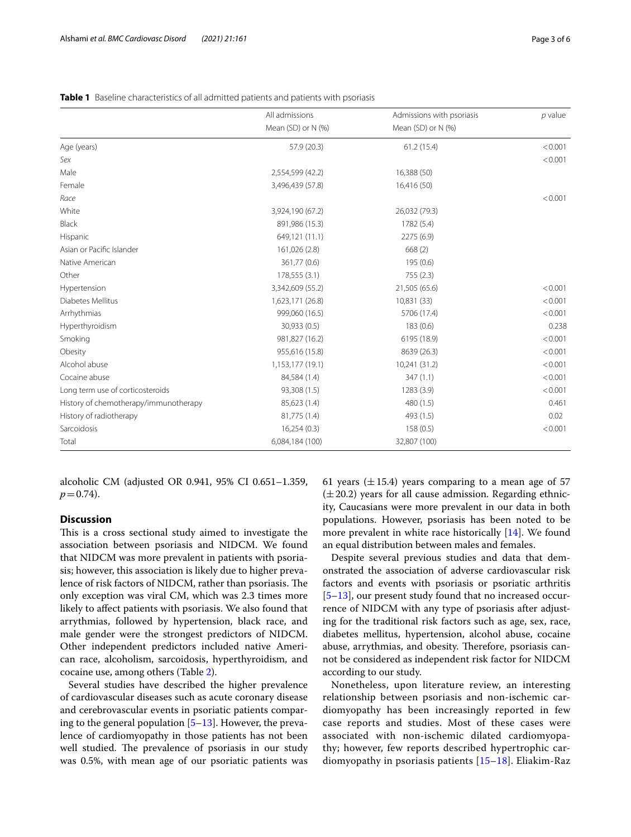|                                       | All admissions     | Admissions with psoriasis | $p$ value |
|---------------------------------------|--------------------|---------------------------|-----------|
|                                       | Mean (SD) or N (%) | Mean (SD) or N (%)        |           |
| Age (years)                           | 57.9 (20.3)        | 61.2(15.4)                | < 0.001   |
| Sex                                   |                    |                           | < 0.001   |
| Male                                  | 2,554,599 (42.2)   | 16,388 (50)               |           |
| Female                                | 3,496,439 (57.8)   | 16,416 (50)               |           |
| Race                                  |                    |                           | < 0.001   |
| White                                 | 3,924,190 (67.2)   | 26,032 (79.3)             |           |
| Black                                 | 891,986 (15.3)     | 1782 (5.4)                |           |
| Hispanic                              | 649,121 (11.1)     | 2275 (6.9)                |           |
| Asian or Pacific Islander             | 161,026 (2.8)      | 668(2)                    |           |
| Native American                       | 361,77 (0.6)       | 195 (0.6)                 |           |
| Other                                 | 178,555 (3.1)      | 755 (2.3)                 |           |
| Hypertension                          | 3,342,609 (55.2)   | 21,505 (65.6)             | < 0.001   |
| Diabetes Mellitus                     | 1,623,171 (26.8)   | 10,831 (33)               | < 0.001   |
| Arrhythmias                           | 999,060 (16.5)     | 5706 (17.4)               | < 0.001   |
| Hyperthyroidism                       | 30,933 (0.5)       | 183 (0.6)                 | 0.238     |
| Smoking                               | 981,827 (16.2)     | 6195 (18.9)               | < 0.001   |
| Obesity                               | 955,616 (15.8)     | 8639 (26.3)               | < 0.001   |
| Alcohol abuse                         | 1,153,177 (19.1)   | 10,241 (31.2)             | < 0.001   |
| Cocaine abuse                         | 84,584 (1.4)       | 347(1.1)                  | < 0.001   |
| Long term use of corticosteroids      | 93,308 (1.5)       | 1283 (3.9)                | < 0.001   |
| History of chemotherapy/immunotherapy | 85,623 (1.4)       | 480 (1.5)                 | 0.461     |
| History of radiotherapy               | 81,775 (1.4)       | 493 (1.5)                 | 0.02      |
| Sarcoidosis                           | 16,254(0.3)        | 158(0.5)                  | < 0.001   |
| Total                                 | 6,084,184 (100)    | 32,807 (100)              |           |

<span id="page-2-0"></span>

|  |  | Table 1 Baseline characteristics of all admitted patients and patients with psoriasis |  |  |  |  |  |  |  |
|--|--|---------------------------------------------------------------------------------------|--|--|--|--|--|--|--|
|--|--|---------------------------------------------------------------------------------------|--|--|--|--|--|--|--|

alcoholic CM (adjusted OR 0.941, 95% CI 0.651–1.359,  $p = 0.74$ .

#### **Discussion**

This is a cross sectional study aimed to investigate the association between psoriasis and NIDCM. We found that NIDCM was more prevalent in patients with psoriasis; however, this association is likely due to higher prevalence of risk factors of NIDCM, rather than psoriasis. The only exception was viral CM, which was 2.3 times more likely to afect patients with psoriasis. We also found that arrythmias, followed by hypertension, black race, and male gender were the strongest predictors of NIDCM. Other independent predictors included native American race, alcoholism, sarcoidosis, hyperthyroidism, and cocaine use, among others (Table [2\)](#page-3-0).

Several studies have described the higher prevalence of cardiovascular diseases such as acute coronary disease and cerebrovascular events in psoriatic patients comparing to the general population  $[5-13]$  $[5-13]$  $[5-13]$ . However, the prevalence of cardiomyopathy in those patients has not been well studied. The prevalence of psoriasis in our study was 0.5%, with mean age of our psoriatic patients was 61 years ( $\pm$ 15.4) years comparing to a mean age of 57  $(\pm 20.2)$  years for all cause admission. Regarding ethnicity, Caucasians were more prevalent in our data in both populations. However, psoriasis has been noted to be more prevalent in white race historically [\[14](#page-5-6)]. We found an equal distribution between males and females.

Despite several previous studies and data that demonstrated the association of adverse cardiovascular risk factors and events with psoriasis or psoriatic arthritis [[5–](#page-5-5)[13\]](#page-5-4), our present study found that no increased occurrence of NIDCM with any type of psoriasis after adjusting for the traditional risk factors such as age, sex, race, diabetes mellitus, hypertension, alcohol abuse, cocaine abuse, arrythmias, and obesity. Therefore, psoriasis cannot be considered as independent risk factor for NIDCM according to our study.

Nonetheless, upon literature review, an interesting relationship between psoriasis and non-ischemic cardiomyopathy has been increasingly reported in few case reports and studies. Most of these cases were associated with non-ischemic dilated cardiomyopathy; however, few reports described hypertrophic cardiomyopathy in psoriasis patients [[15–](#page-5-7)[18](#page-5-8)]. Eliakim-Raz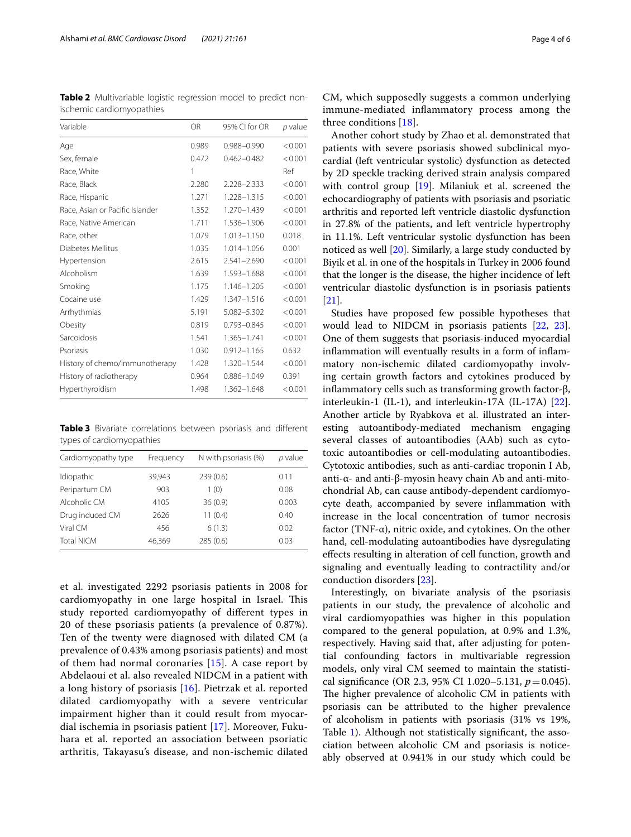<span id="page-3-0"></span>**Table 2** Multivariable logistic regression model to predict nonischemic cardiomyopathies

| Variable                        | <b>OR</b> | 95% CI for OR   | p value |
|---------------------------------|-----------|-----------------|---------|
| Age                             | 0.989     | 0.988-0.990     | < 0.001 |
| Sex, female                     | 0.472     | $0.462 - 0.482$ | < 0.001 |
| Race, White                     | 1         |                 | Ref     |
| Race, Black                     | 2.280     | 2.228-2.333     | < 0.001 |
| Race, Hispanic                  | 1.271     | 1.228-1.315     | < 0.001 |
| Race, Asian or Pacific Islander | 1.352     | 1.270-1.439     | < 0.001 |
| Race, Native American           | 1.711     | 1.536-1.906     | < 0.001 |
| Race, other                     | 1.079     | 1.013-1.150     | 0.018   |
| Diabetes Mellitus               | 1.035     | 1.014-1.056     | 0.001   |
| Hypertension                    | 2.615     | 2.541-2.690     | < 0.001 |
| Alcoholism                      | 1.639     | 1.593-1.688     | < 0.001 |
| Smoking                         | 1.175     | 1.146-1.205     | < 0.001 |
| Cocaine use                     | 1.429     | 1.347-1.516     | < 0.001 |
| Arrhythmias                     | 5.191     | 5.082-5.302     | < 0.001 |
| Obesity                         | 0.819     | 0.793-0.845     | < 0.001 |
| Sarcoidosis                     | 1.541     | 1.365-1.741     | < 0.001 |
| Psoriasis                       | 1.030     | $0.912 - 1.165$ | 0.632   |
| History of chemo/immunotherapy  | 1.428     | 1.320-1.544     | < 0.001 |
| History of radiotherapy         | 0.964     | 0.886-1.049     | 0.391   |
| Hyperthyroidism                 | 1.498     | 1.362-1.648     | < 0.001 |

<span id="page-3-1"></span>**Table 3** Bivariate correlations between psoriasis and diferent types of cardiomyopathies

| Cardiomyopathy type | Frequency | N with psoriasis (%) | p value |
|---------------------|-----------|----------------------|---------|
| Idiopathic          | 39.943    | 239(0.6)             | 0.11    |
| Peripartum CM       | 903       | 1(0)                 | 0.08    |
| Alcoholic CM        | 4105      | 36(0.9)              | 0.003   |
| Drug induced CM     | 2626      | 11(0.4)              | 0.40    |
| Viral CM            | 456       | 6(1.3)               | 0.02    |
| <b>Total NICM</b>   | 46,369    | 285(0.6)             | 0.03    |

et al. investigated 2292 psoriasis patients in 2008 for cardiomyopathy in one large hospital in Israel. This study reported cardiomyopathy of diferent types in 20 of these psoriasis patients (a prevalence of 0.87%). Ten of the twenty were diagnosed with dilated CM (a prevalence of 0.43% among psoriasis patients) and most of them had normal coronaries  $[15]$  $[15]$ . A case report by Abdelaoui et al. also revealed NIDCM in a patient with a long history of psoriasis [\[16](#page-5-9)]. Pietrzak et al. reported dilated cardiomyopathy with a severe ventricular impairment higher than it could result from myocardial ischemia in psoriasis patient [\[17\]](#page-5-10). Moreover, Fukuhara et al. reported an association between psoriatic arthritis, Takayasu's disease, and non-ischemic dilated

CM, which supposedly suggests a common underlying immune-mediated infammatory process among the three conditions [\[18\]](#page-5-8).

Another cohort study by Zhao et al. demonstrated that patients with severe psoriasis showed subclinical myocardial (left ventricular systolic) dysfunction as detected by 2D speckle tracking derived strain analysis compared with control group [[19\]](#page-5-11). Milaniuk et al. screened the echocardiography of patients with psoriasis and psoriatic arthritis and reported left ventricle diastolic dysfunction in 27.8% of the patients, and left ventricle hypertrophy in 11.1%. Left ventricular systolic dysfunction has been noticed as well [[20\]](#page-5-12). Similarly, a large study conducted by Biyik et al. in one of the hospitals in Turkey in 2006 found that the longer is the disease, the higher incidence of left ventricular diastolic dysfunction is in psoriasis patients [[21\]](#page-5-13).

Studies have proposed few possible hypotheses that would lead to NIDCM in psoriasis patients [[22,](#page-5-14) [23](#page-5-15)]. One of them suggests that psoriasis-induced myocardial infammation will eventually results in a form of infammatory non-ischemic dilated cardiomyopathy involving certain growth factors and cytokines produced by infammatory cells such as transforming growth factor-β, interleukin-1 (IL-1), and interleukin-17A (IL-17A) [\[22](#page-5-14)]. Another article by Ryabkova et al. illustrated an interesting autoantibody-mediated mechanism engaging several classes of autoantibodies (AAb) such as cytotoxic autoantibodies or cell-modulating autoantibodies. Cytotoxic antibodies, such as anti-cardiac troponin I Ab, anti-α- and anti-β-myosin heavy chain Ab and anti-mitochondrial Ab, can cause antibody-dependent cardiomyocyte death, accompanied by severe infammation with increase in the local concentration of tumor necrosis factor (TNF- $\alpha$ ), nitric oxide, and cytokines. On the other hand, cell-modulating autoantibodies have dysregulating efects resulting in alteration of cell function, growth and signaling and eventually leading to contractility and/or conduction disorders [\[23\]](#page-5-15).

Interestingly, on bivariate analysis of the psoriasis patients in our study, the prevalence of alcoholic and viral cardiomyopathies was higher in this population compared to the general population, at 0.9% and 1.3%, respectively. Having said that, after adjusting for potential confounding factors in multivariable regression models, only viral CM seemed to maintain the statistical signifcance (OR 2.3, 95% CI 1.020–5.131, *p*=0.045). The higher prevalence of alcoholic CM in patients with psoriasis can be attributed to the higher prevalence of alcoholism in patients with psoriasis (31% vs 19%, Table [1](#page-2-0)). Although not statistically signifcant, the association between alcoholic CM and psoriasis is noticeably observed at 0.941% in our study which could be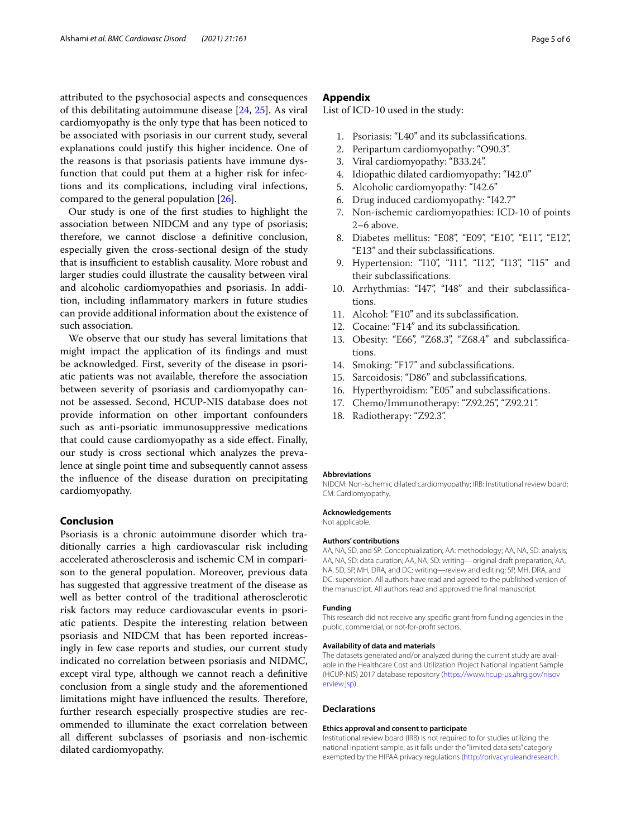attributed to the psychosocial aspects and consequences of this debilitating autoimmune disease [[24](#page-5-16), [25](#page-5-17)]. As viral cardiomyopathy is the only type that has been noticed to be associated with psoriasis in our current study, several explanations could justify this higher incidence. One of the reasons is that psoriasis patients have immune dysfunction that could put them at a higher risk for infections and its complications, including viral infections, compared to the general population [\[26](#page-5-18)].

Our study is one of the frst studies to highlight the association between NIDCM and any type of psoriasis; therefore, we cannot disclose a defnitive conclusion, especially given the cross-sectional design of the study that is insufficient to establish causality. More robust and larger studies could illustrate the causality between viral and alcoholic cardiomyopathies and psoriasis. In addition, including infammatory markers in future studies can provide additional information about the existence of such association.

We observe that our study has several limitations that might impact the application of its fndings and must be acknowledged. First, severity of the disease in psoriatic patients was not available, therefore the association between severity of psoriasis and cardiomyopathy cannot be assessed. Second, HCUP-NIS database does not provide information on other important confounders such as anti-psoriatic immunosuppressive medications that could cause cardiomyopathy as a side efect. Finally, our study is cross sectional which analyzes the prevalence at single point time and subsequently cannot assess the infuence of the disease duration on precipitating cardiomyopathy.

#### **Conclusion**

Psoriasis is a chronic autoimmune disorder which traditionally carries a high cardiovascular risk including accelerated atherosclerosis and ischemic CM in comparison to the general population. Moreover, previous data has suggested that aggressive treatment of the disease as well as better control of the traditional atherosclerotic risk factors may reduce cardiovascular events in psoriatic patients. Despite the interesting relation between psoriasis and NIDCM that has been reported increasingly in few case reports and studies, our current study indicated no correlation between psoriasis and NIDMC, except viral type, although we cannot reach a defnitive conclusion from a single study and the aforementioned limitations might have influenced the results. Therefore, further research especially prospective studies are recommended to illuminate the exact correlation between all diferent subclasses of psoriasis and non-ischemic dilated cardiomyopathy.

#### <span id="page-4-0"></span>**Appendix**

List of ICD-10 used in the study:

- 1. Psoriasis: "L40" and its subclassifcations.
- 2. Peripartum cardiomyopathy: "O90.3".
- 3. Viral cardiomyopathy: "B33.24".
- 4. Idiopathic dilated cardiomyopathy: "I42.0"
- 5. Alcoholic cardiomyopathy: "I42.6"
- 6. Drug induced cardiomyopathy: "I42.7"
- 7. Non-ischemic cardiomyopathies: ICD-10 of points 2–6 above.
- 8. Diabetes mellitus: "E08", "E09", "E10", "E11", "E12", "E13" and their subclassifcations.
- 9. Hypertension: "I10", "I11", "I12", "I13", "I15" and their subclassifcations.
- 10. Arrhythmias: "I47", "I48" and their subclassifcations.
- 11. Alcohol: "F10" and its subclassifcation.
- 12. Cocaine: "F14" and its subclassifcation.
- 13. Obesity: "E66", "Z68.3", "Z68.4" and subclassifcations.
- 14. Smoking: "F17" and subclassifcations.
- 15. Sarcoidosis: "D86" and subclassifcations.
- 16. Hyperthyroidism: "E05" and subclassifcations.
- 17. Chemo/Immunotherapy: "Z92.25", "Z92.21".
- 18. Radiotherapy: "Z92.3".

#### **Abbreviations**

NIDCM: Non-ischemic dilated cardiomyopathy; IRB: Institutional review board; CM: Cardiomyopathy.

#### **Acknowledgements**

Not applicable.

#### **Authors' contributions**

AA, NA, SD, and SP: Conceptualization; AA: methodology; AA, NA, SD: analysis; AA, NA, SD: data curation; AA, NA, SD: writing—original draft preparation; AA, NA, SD, SP, MH, DRA, and DC: writing—review and editing; SP, MH, DRA, and DC: supervision. All authors have read and agreed to the published version of the manuscript. All authors read and approved the fnal manuscript.

#### **Funding**

This research did not receive any specifc grant from funding agencies in the public, commercial, or not-for-proft sectors.

#### **Availability of data and materials**

The datasets generated and/or analyzed during the current study are available in the Healthcare Cost and Utilization Project National Inpatient Sample (HCUP-NIS) 2017 database repository ([https://www.hcup-us.ahrg.gov/nisov](https://www.hcup-us.ahrg.gov/nisoverview.jsp) [erview.jsp](https://www.hcup-us.ahrg.gov/nisoverview.jsp)).

#### **Declarations**

#### **Ethics approval and consent to participate**

Institutional review board (IRB) is not required to for studies utilizing the national inpatient sample, as it falls under the "limited data sets" category exempted by the HIPAA privacy regulations ([http://privacyruleandresearch.](http://privacyruleandresearch.nih.gov)